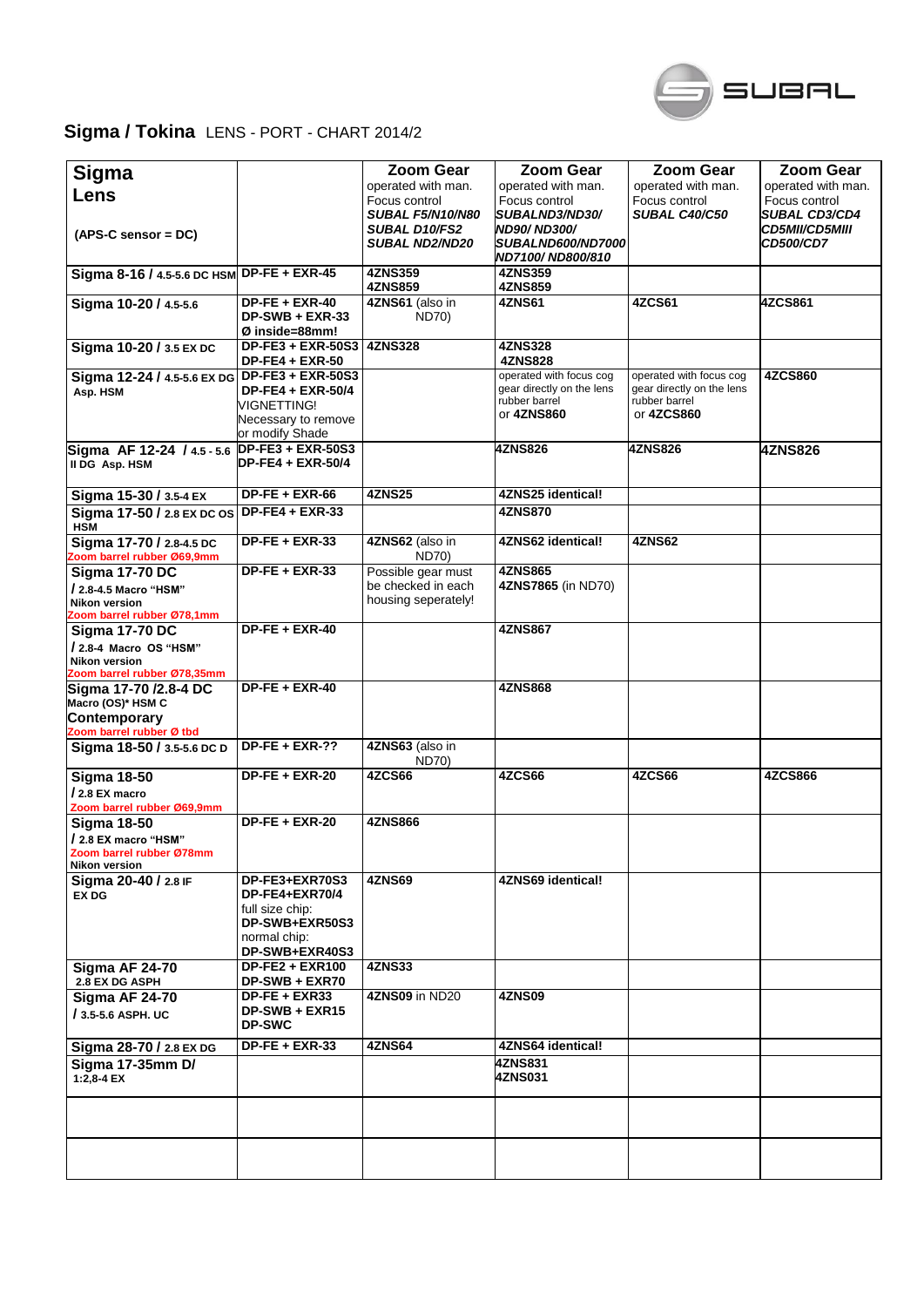

## **Sigma / Tokina** LENS - PORT - CHART 2014/2

| Sigma                                                  |                                                      | <b>Zoom Gear</b>                              | Zoom Gear                                      | Zoom Gear                   | <b>Zoom Gear</b>                          |
|--------------------------------------------------------|------------------------------------------------------|-----------------------------------------------|------------------------------------------------|-----------------------------|-------------------------------------------|
| Lens                                                   |                                                      | operated with man.                            | operated with man.                             | operated with man.          | operated with man.                        |
|                                                        |                                                      | Focus control                                 | Focus control                                  | Focus control               | Focus control                             |
|                                                        |                                                      | <b>SUBAL F5/N10/N80</b>                       | SUBALND3/ND30/                                 | <b>SUBAL C40/C50</b>        | <b>SUBAL CD3/CD4</b>                      |
| $(APS-C sensor = DC)$                                  |                                                      | <b>SUBAL D10/FS2</b><br><b>SUBAL ND2/ND20</b> | <b>ND90/ND300/</b><br><b>SUBALND600/ND7000</b> |                             | <b>CD5MII/CD5MIII</b><br><b>CD500/CD7</b> |
|                                                        |                                                      |                                               | ND7100/ND800/810                               |                             |                                           |
| Sigma 8-16 / 4.5-5.6 DC HSM DP-FE + EXR-45             |                                                      | <b>4ZNS359</b>                                | 4ZNS359                                        |                             |                                           |
|                                                        |                                                      | 4ZNS859                                       | 4ZNS859                                        |                             |                                           |
| Sigma 10-20 / 4.5-5.6                                  | $DP-FE + EXR-40$                                     | 4ZNS61 (also in                               | 4ZNS61                                         | <b>4ZCS61</b>               | 4ZCS861                                   |
|                                                        | $DP-SWB + EXR-33$                                    | <b>ND70)</b>                                  |                                                |                             |                                           |
|                                                        | Ø inside=88mm!                                       |                                               |                                                |                             |                                           |
| Sigma 10-20 / 3.5 EX DC                                | <b>DP-FE3 + EXR-50S3</b>                             | <b>4ZNS328</b>                                | 4ZNS328                                        |                             |                                           |
|                                                        | <b>DP-FE4 + EXR-50</b>                               |                                               | <b>4ZNS828</b>                                 |                             |                                           |
| Sigma 12-24 / 4.5-5.6 EX DG DP-FE3 + EXR-50S3          |                                                      |                                               | operated with focus cog                        | operated with focus cog     | <b>4ZCS860</b>                            |
| Asp. HSM                                               | <b>DP-FE4 + EXR-50/4</b>                             |                                               | gear directly on the lens                      | gear directly on the lens   |                                           |
|                                                        | VIGNETTING!                                          |                                               | rubber barrel<br>or 4ZNS860                    | rubber barrel<br>or 4ZCS860 |                                           |
|                                                        | Necessary to remove                                  |                                               |                                                |                             |                                           |
|                                                        | or modify Shade                                      |                                               |                                                |                             |                                           |
| Sigma AF 12-24 / 4.5 - 5.6<br>II DG Asp. HSM           | <b>DP-FE3 + EXR-50S3</b><br><b>DP-FE4 + EXR-50/4</b> |                                               | <b>4ZNS826</b>                                 | <b>4ZNS826</b>              | 4ZNS826                                   |
|                                                        |                                                      |                                               |                                                |                             |                                           |
|                                                        | $DP-FE + EXR-66$                                     | <b>4ZNS25</b>                                 | 4ZNS25 identical!                              |                             |                                           |
| Sigma 15-30 / 3.5-4 EX                                 |                                                      |                                               |                                                |                             |                                           |
| Sigma 17-50 / 2.8 EX DC OS                             | $DP-FE4 + EXR-33$                                    |                                               | <b>4ZNS870</b>                                 |                             |                                           |
| <b>HSM</b>                                             |                                                      |                                               | 4ZNS62 identical!                              | 4ZNS62                      |                                           |
| Sigma 17-70 / 2.8-4.5 DC<br>Zoom barrel rubber Ø69,9mm | $DP-FE + EXR-33$                                     | 4ZNS62 (also in<br><b>ND70)</b>               |                                                |                             |                                           |
| <b>Sigma 17-70 DC</b>                                  | $DP-FE + EXR-33$                                     | Possible gear must                            | <b>4ZNS865</b>                                 |                             |                                           |
| / 2.8-4.5 Macro "HSM"                                  |                                                      | be checked in each                            | 4ZNS7865 (in ND70)                             |                             |                                           |
| <b>Nikon version</b>                                   |                                                      | housing seperately!                           |                                                |                             |                                           |
| Zoom barrel rubber Ø78,1mm                             |                                                      |                                               |                                                |                             |                                           |
| <b>Sigma 17-70 DC</b>                                  | $DF-FE + EXR-40$                                     |                                               | 4ZNS867                                        |                             |                                           |
| / 2.8-4 Macro OS "HSM"                                 |                                                      |                                               |                                                |                             |                                           |
| <b>Nikon version</b>                                   |                                                      |                                               |                                                |                             |                                           |
| Zoom barrel rubber Ø78,35mm                            |                                                      |                                               |                                                |                             |                                           |
| Sigma 17-70 /2.8-4 DC                                  | $DP-FE + EXR-40$                                     |                                               | <b>4ZNS868</b>                                 |                             |                                           |
| Macro (OS)* HSM C                                      |                                                      |                                               |                                                |                             |                                           |
| Contemporary                                           |                                                      |                                               |                                                |                             |                                           |
| Zoom barrel rubber Ø tbd                               |                                                      |                                               |                                                |                             |                                           |
| Sigma 18-50 / 3.5-5.6 DC D                             | $DP-FE + EXR-??$                                     | 4ZNS63 (also in<br><b>ND70)</b>               |                                                |                             |                                           |
| <b>Sigma 18-50</b>                                     | $DP-FE + EXR-20$                                     | 4ZCS66                                        | 4ZCS66                                         | 4ZCS66                      | <b>4ZCS866</b>                            |
| / 2.8 EX macro                                         |                                                      |                                               |                                                |                             |                                           |
| Zoom barrel rubber Ø69,9mm                             |                                                      |                                               |                                                |                             |                                           |
| <b>Sigma 18-50</b>                                     | $DP-FE + EXR-20$                                     | <b>4ZNS866</b>                                |                                                |                             |                                           |
| / 2.8 EX macro "HSM"                                   |                                                      |                                               |                                                |                             |                                           |
| Zoom barrel rubber Ø78mm                               |                                                      |                                               |                                                |                             |                                           |
| Nikon version                                          |                                                      |                                               |                                                |                             |                                           |
| Sigma 20-40 / 2.8 IF                                   | DP-FE3+EXR70S3                                       | 4ZNS69                                        | 4ZNS69 identical!                              |                             |                                           |
| <b>EX DG</b>                                           | DP-FE4+EXR70/4                                       |                                               |                                                |                             |                                           |
|                                                        | full size chip:                                      |                                               |                                                |                             |                                           |
|                                                        | DP-SWB+EXR50S3                                       |                                               |                                                |                             |                                           |
|                                                        | normal chip:                                         |                                               |                                                |                             |                                           |
|                                                        | DP-SWB+EXR40S3<br>$DP-FE2 + EXR100$                  | <b>4ZNS33</b>                                 |                                                |                             |                                           |
| <b>Sigma AF 24-70</b><br>2.8 EX DG ASPH                | DP-SWB + EXR70                                       |                                               |                                                |                             |                                           |
| <b>Sigma AF 24-70</b>                                  | <b>DP-FE + EXR33</b>                                 | 4ZNS09 in ND20                                | <b>4ZNS09</b>                                  |                             |                                           |
| / 3.5-5.6 ASPH. UC                                     | DP-SWB + EXR15                                       |                                               |                                                |                             |                                           |
|                                                        | <b>DP-SWC</b>                                        |                                               |                                                |                             |                                           |
|                                                        | $DP-FE + EXR-33$                                     | 4ZNS64                                        | 4ZNS64 identical!                              |                             |                                           |
| Sigma 28-70 / 2.8 EX DG                                |                                                      |                                               |                                                |                             |                                           |
| Sigma 17-35mm D/                                       |                                                      |                                               | 4ZNS831<br>4ZNS031                             |                             |                                           |
| $1:2,8-4$ EX                                           |                                                      |                                               |                                                |                             |                                           |
|                                                        |                                                      |                                               |                                                |                             |                                           |
|                                                        |                                                      |                                               |                                                |                             |                                           |
|                                                        |                                                      |                                               |                                                |                             |                                           |
|                                                        |                                                      |                                               |                                                |                             |                                           |
|                                                        |                                                      |                                               |                                                |                             |                                           |
|                                                        |                                                      |                                               |                                                |                             |                                           |